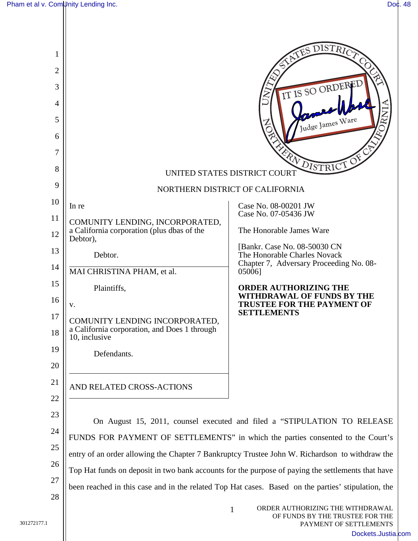| 1<br>2<br>3<br>4<br>5<br>6<br>7<br>8 |                                                                                                    | DISTR <sub>IC</sub><br>IT IS SO ORDERED<br>Judge James Ware<br>ERN<br>DISTRICT<br>UNITED STATES DISTRICT COURT |
|--------------------------------------|----------------------------------------------------------------------------------------------------|----------------------------------------------------------------------------------------------------------------|
| 9                                    | NORTHERN DISTRICT OF CALIFORNIA                                                                    |                                                                                                                |
| 10                                   | In re                                                                                              | Case No. 08-00201 JW                                                                                           |
| 11                                   | COMUNITY LENDING, INCORPORATED,                                                                    | Case No. 07-05436 JW                                                                                           |
| 12                                   | a California corporation (plus dbas of the<br>Debtor),                                             | The Honorable James Ware                                                                                       |
| 13                                   | Debtor.                                                                                            | [Bankr. Case No. 08-50030 CN]<br>The Honorable Charles Novack                                                  |
| 14                                   | MAI CHRISTINA PHAM, et al.                                                                         | Chapter 7, Adversary Proceeding No. 08-<br>05006]                                                              |
| 15                                   | Plaintiffs,                                                                                        | <b>ORDER AUTHORIZING THE</b>                                                                                   |
| 16                                   | V.                                                                                                 | <b>WITHDRAWAL OF FUNDS BY THE</b><br><b>TRUSTEE FOR THE PAYMENT OF</b>                                         |
| 17<br>18                             | COMUNITY LENDING INCORPORATED,<br>a California corporation, and Does 1 through<br>10, inclusive    | <b>SETTLEMENTS</b>                                                                                             |
| 19                                   | Defendants.                                                                                        |                                                                                                                |
| 20                                   |                                                                                                    |                                                                                                                |
| 21<br>22                             | AND RELATED CROSS-ACTIONS                                                                          |                                                                                                                |
| 23                                   |                                                                                                    |                                                                                                                |
| 24                                   | On August 15, 2011, counsel executed and filed a "STIPULATION TO RELEASE                           |                                                                                                                |
| 25                                   | FUNDS FOR PAYMENT OF SETTLEMENTS" in which the parties consented to the Court's                    |                                                                                                                |
| 26                                   | entry of an order allowing the Chapter 7 Bankruptcy Trustee John W. Richardson to withdraw the     |                                                                                                                |
| 27                                   | Top Hat funds on deposit in two bank accounts for the purpose of paying the settlements that have  |                                                                                                                |
| 28                                   | been reached in this case and in the related Top Hat cases. Based on the parties' stipulation, the |                                                                                                                |
|                                      |                                                                                                    | ORDER AUTHORIZING THE WITHDRAWAL<br>$\mathbf{1}$<br>OF FUNDS BY THE TRUSTEE FOR THE                            |

PAYMENT OF SETTLEMENTS